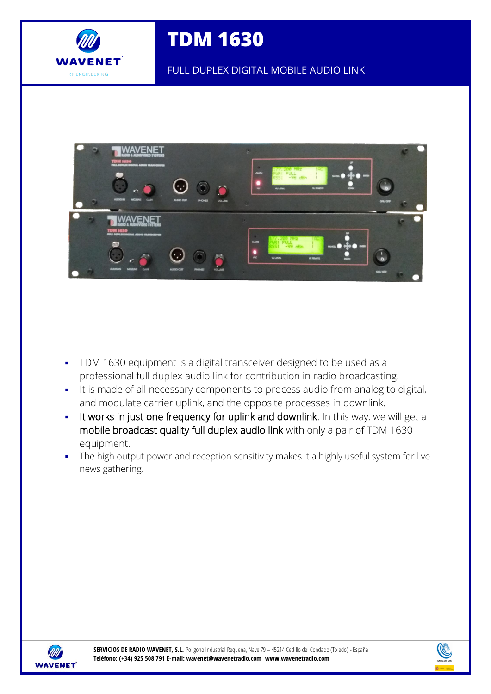

# **TDM 1630**

FULL DUPLEX DIGITAL MOBILE AUDIO LINK



- TDM 1630 equipment is a digital transceiver designed to be used as a professional full duplex audio link for contribution in radio broadcasting.
- It is made of all necessary components to process audio from analog to digital, and modulate carrier uplink, and the opposite processes in downlink.
- It works in just one frequency for uplink and downlink. In this way, we will get a mobile broadcast quality full duplex audio link with only a pair of TDM 1630 equipment.
- The high output power and reception sensitivity makes it a highly useful system for live news gathering.